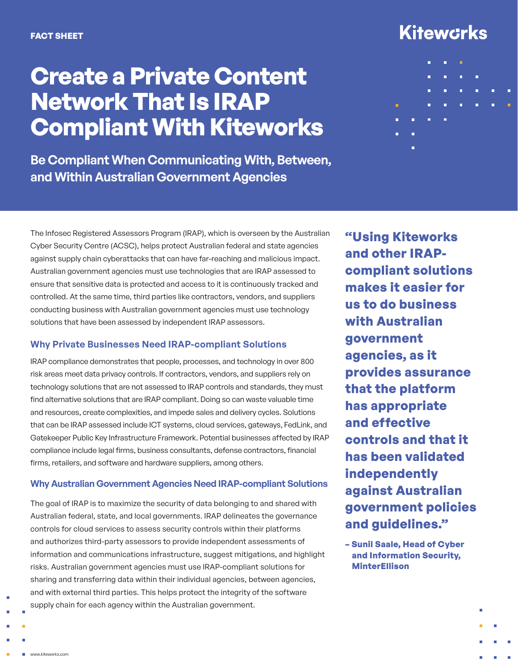# **Create a Private Content Network That Is IRAP Compliant With Kiteworks**

**Be Compliant When Communicating With, Between, and Within Australian Government Agencies**

# **Kitewcrks**



The Infosec Registered Assessors Program (IRAP), which is overseen by the Australian Cyber Security Centre (ACSC), helps protect Australian federal and state agencies against supply chain cyberattacks that can have far-reaching and malicious impact. Australian government agencies must use technologies that are IRAP assessed to ensure that sensitive data is protected and access to it is continuously tracked and controlled. At the same time, third parties like contractors, vendors, and suppliers conducting business with Australian government agencies must use technology solutions that have been assessed by independent IRAP assessors.

### **Why Private Businesses Need IRAP-compliant Solutions**

IRAP compliance demonstrates that people, processes, and technology in over 800 risk areas meet data privacy controls. If contractors, vendors, and suppliers rely on technology solutions that are not assessed to IRAP controls and standards, they must find alternative solutions that are IRAP compliant. Doing so can waste valuable time and resources, create complexities, and impede sales and delivery cycles. Solutions that can be IRAP assessed include ICT systems, cloud services, gateways, FedLink, and Gatekeeper Public Key Infrastructure Framework. Potential businesses affected by IRAP compliance include legal firms, business consultants, defense contractors, financial firms, retailers, and software and hardware suppliers, among others.

### **Why Australian Government Agencies Need IRAP-compliant Solutions**

The goal of IRAP is to maximize the security of data belonging to and shared with Australian federal, state, and local governments. IRAP delineates the governance controls for cloud services to assess security controls within their platforms and authorizes third-party assessors to provide independent assessments of information and communications infrastructure, suggest mitigations, and highlight risks. Australian government agencies must use IRAP-compliant solutions for sharing and transferring data within their individual agencies, between agencies, and with external third parties. This helps protect the integrity of the software supply chain for each agency within the Australian government.

**"Using Kiteworks and other IRAPcompliant solutions makes it easier for us to do business with Australian government agencies, as it provides assurance that the platform has appropriate and effective controls and that it has been validated independently against Australian government policies and guidelines."**

**– Sunil Saale, Head of Cyber and Information Security, MinterEllison**